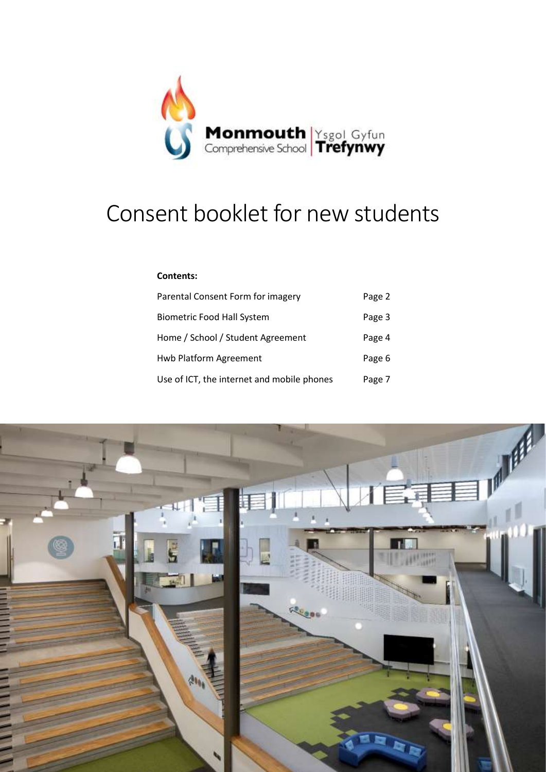

# Consent booklet for new students

#### **Contents:**

| Parental Consent Form for imagery          | Page 2 |
|--------------------------------------------|--------|
| <b>Biometric Food Hall System</b>          | Page 3 |
| Home / School / Student Agreement          | Page 4 |
| Hwb Platform Agreement                     | Page 6 |
| Use of ICT, the internet and mobile phones | Page 7 |

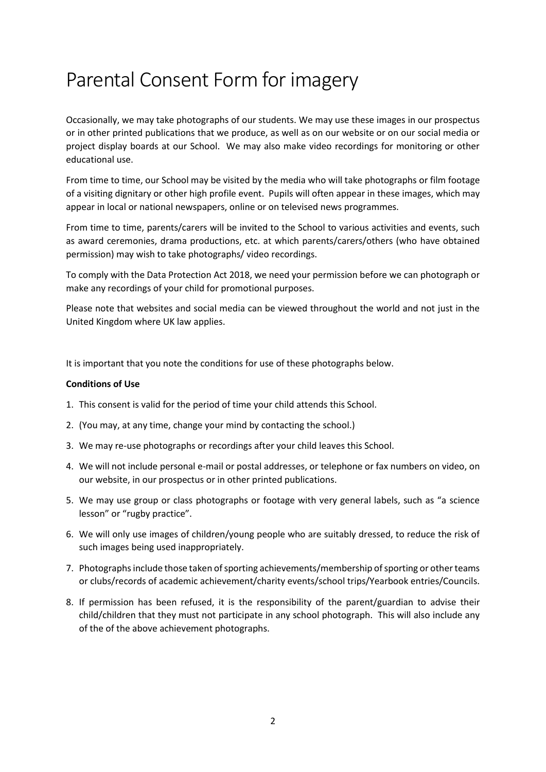## Parental Consent Form for imagery

Occasionally, we may take photographs of our students. We may use these images in our prospectus or in other printed publications that we produce, as well as on our website or on our social media or project display boards at our School. We may also make video recordings for monitoring or other educational use.

From time to time, our School may be visited by the media who will take photographs or film footage of a visiting dignitary or other high profile event. Pupils will often appear in these images, which may appear in local or national newspapers, online or on televised news programmes.

From time to time, parents/carers will be invited to the School to various activities and events, such as award ceremonies, drama productions, etc. at which parents/carers/others (who have obtained permission) may wish to take photographs/ video recordings.

To comply with the Data Protection Act 2018, we need your permission before we can photograph or make any recordings of your child for promotional purposes.

Please note that websites and social media can be viewed throughout the world and not just in the United Kingdom where UK law applies.

It is important that you note the conditions for use of these photographs below.

#### **Conditions of Use**

- 1. This consent is valid for the period of time your child attends this School.
- 2. (You may, at any time, change your mind by contacting the school.)
- 3. We may re-use photographs or recordings after your child leaves this School.
- 4. We will not include personal e-mail or postal addresses, or telephone or fax numbers on video, on our website, in our prospectus or in other printed publications.
- 5. We may use group or class photographs or footage with very general labels, such as "a science lesson" or "rugby practice".
- 6. We will only use images of children/young people who are suitably dressed, to reduce the risk of such images being used inappropriately.
- 7. Photographs include those taken of sporting achievements/membership of sporting or other teams or clubs/records of academic achievement/charity events/school trips/Yearbook entries/Councils.
- 8. If permission has been refused, it is the responsibility of the parent/guardian to advise their child/children that they must not participate in any school photograph. This will also include any of the of the above achievement photographs.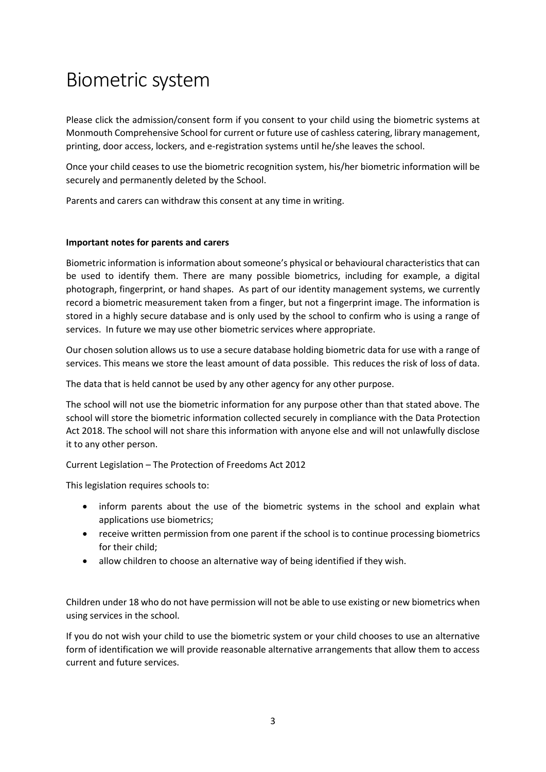## Biometric system

Please click the admission/consent form if you consent to your child using the biometric systems at Monmouth Comprehensive School for current or future use of cashless catering, library management, printing, door access, lockers, and e-registration systems until he/she leaves the school.

Once your child ceases to use the biometric recognition system, his/her biometric information will be securely and permanently deleted by the School.

Parents and carers can withdraw this consent at any time in writing.

#### **Important notes for parents and carers**

Biometric information is information about someone's physical or behavioural characteristics that can be used to identify them. There are many possible biometrics, including for example, a digital photograph, fingerprint, or hand shapes. As part of our identity management systems, we currently record a biometric measurement taken from a finger, but not a fingerprint image. The information is stored in a highly secure database and is only used by the school to confirm who is using a range of services. In future we may use other biometric services where appropriate.

Our chosen solution allows us to use a secure database holding biometric data for use with a range of services. This means we store the least amount of data possible. This reduces the risk of loss of data.

The data that is held cannot be used by any other agency for any other purpose.

The school will not use the biometric information for any purpose other than that stated above. The school will store the biometric information collected securely in compliance with the Data Protection Act 2018. The school will not share this information with anyone else and will not unlawfully disclose it to any other person.

Current Legislation – The Protection of Freedoms Act 2012

This legislation requires schools to:

- inform parents about the use of the biometric systems in the school and explain what applications use biometrics;
- receive written permission from one parent if the school is to continue processing biometrics for their child;
- allow children to choose an alternative way of being identified if they wish.

Children under 18 who do not have permission will not be able to use existing or new biometrics when using services in the school.

If you do not wish your child to use the biometric system or your child chooses to use an alternative form of identification we will provide reasonable alternative arrangements that allow them to access current and future services.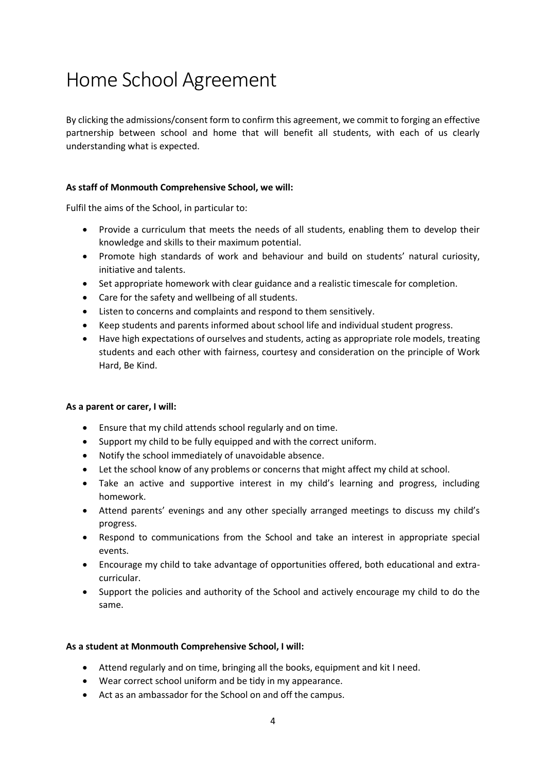# Home School Agreement

By clicking the admissions/consent form to confirm this agreement, we commit to forging an effective partnership between school and home that will benefit all students, with each of us clearly understanding what is expected.

#### **As staff of Monmouth Comprehensive School, we will:**

Fulfil the aims of the School, in particular to:

- Provide a curriculum that meets the needs of all students, enabling them to develop their knowledge and skills to their maximum potential.
- Promote high standards of work and behaviour and build on students' natural curiosity, initiative and talents.
- Set appropriate homework with clear guidance and a realistic timescale for completion.
- Care for the safety and wellbeing of all students.
- Listen to concerns and complaints and respond to them sensitively.
- Keep students and parents informed about school life and individual student progress.
- Have high expectations of ourselves and students, acting as appropriate role models, treating students and each other with fairness, courtesy and consideration on the principle of Work Hard, Be Kind.

#### **As a parent or carer, I will:**

- Ensure that my child attends school regularly and on time.
- Support my child to be fully equipped and with the correct uniform.
- Notify the school immediately of unavoidable absence.
- Let the school know of any problems or concerns that might affect my child at school.
- Take an active and supportive interest in my child's learning and progress, including homework.
- Attend parents' evenings and any other specially arranged meetings to discuss my child's progress.
- Respond to communications from the School and take an interest in appropriate special events.
- Encourage my child to take advantage of opportunities offered, both educational and extracurricular.
- Support the policies and authority of the School and actively encourage my child to do the same.

#### **As a student at Monmouth Comprehensive School, I will:**

- Attend regularly and on time, bringing all the books, equipment and kit I need.
- Wear correct school uniform and be tidy in my appearance.
- Act as an ambassador for the School on and off the campus.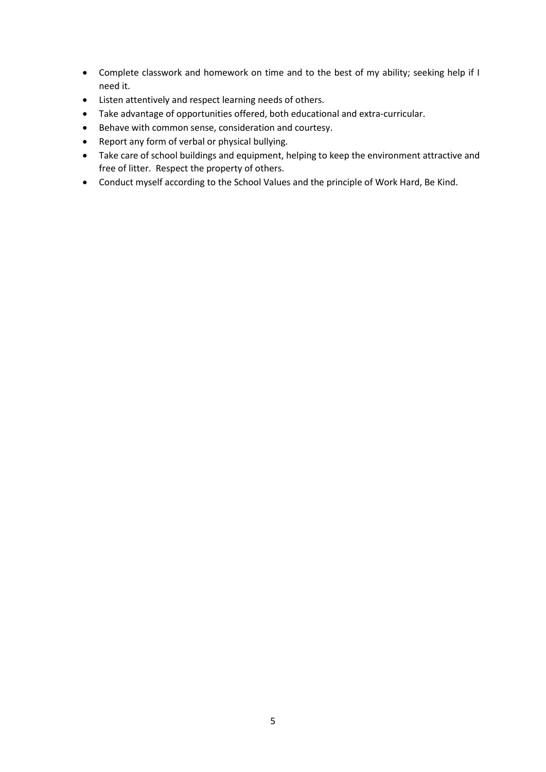- Complete classwork and homework on time and to the best of my ability; seeking help if I need it.
- Listen attentively and respect learning needs of others.
- Take advantage of opportunities offered, both educational and extra-curricular.
- Behave with common sense, consideration and courtesy.
- Report any form of verbal or physical bullying.
- Take care of school buildings and equipment, helping to keep the environment attractive and free of litter. Respect the property of others.
- Conduct myself according to the School Values and the principle of Work Hard, Be Kind.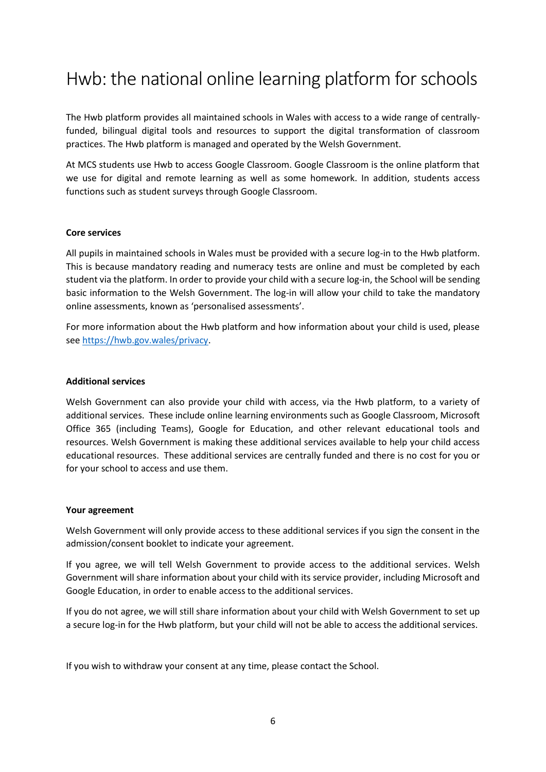### Hwb: the national online learning platform for schools

The Hwb platform provides all maintained schools in Wales with access to a wide range of centrallyfunded, bilingual digital tools and resources to support the digital transformation of classroom practices. The Hwb platform is managed and operated by the Welsh Government.

At MCS students use Hwb to access Google Classroom. Google Classroom is the online platform that we use for digital and remote learning as well as some homework. In addition, students access functions such as student surveys through Google Classroom.

#### **Core services**

All pupils in maintained schools in Wales must be provided with a secure log-in to the Hwb platform. This is because mandatory reading and numeracy tests are online and must be completed by each student via the platform. In order to provide your child with a secure log-in, the School will be sending basic information to the Welsh Government. The log-in will allow your child to take the mandatory online assessments, known as 'personalised assessments'.

For more information about the Hwb platform and how information about your child is used, please see [https://hwb.gov.wales/privacy.](https://hwb.gov.wales/privacy)

#### **Additional services**

Welsh Government can also provide your child with access, via the Hwb platform, to a variety of additional services. These include online learning environments such as Google Classroom, Microsoft Office 365 (including Teams), Google for Education, and other relevant educational tools and resources. Welsh Government is making these additional services available to help your child access educational resources. These additional services are centrally funded and there is no cost for you or for your school to access and use them.

#### **Your agreement**

Welsh Government will only provide access to these additional services if you sign the consent in the admission/consent booklet to indicate your agreement.

If you agree, we will tell Welsh Government to provide access to the additional services. Welsh Government will share information about your child with its service provider, including Microsoft and Google Education, in order to enable access to the additional services.

If you do not agree, we will still share information about your child with Welsh Government to set up a secure log-in for the Hwb platform, but your child will not be able to access the additional services.

If you wish to withdraw your consent at any time, please contact the School.